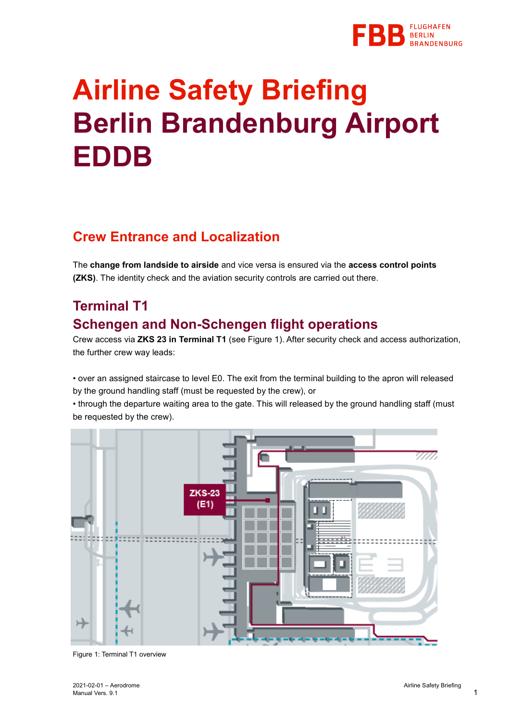

# **Airline Safety Briefing Berlin Brandenburg Airport EDDB**

#### **Crew Entrance and Localization**

The **change from landside to airside** and vice versa is ensured via the **access control points (ZKS)**. The identity check and the aviation security controls are carried out there.

# **Terminal T1 Schengen and Non-Schengen flight operations**

Crew access via **ZKS 23 in Terminal T1** (see Figure 1). After security check and access authorization, the further crew way leads:

• over an assigned staircase to level E0. The exit from the terminal building to the apron will released by the ground handling staff (must be requested by the crew), or

• through the departure waiting area to the gate. This will released by the ground handling staff (must be requested by the crew).



Figure 1: Terminal T1 overview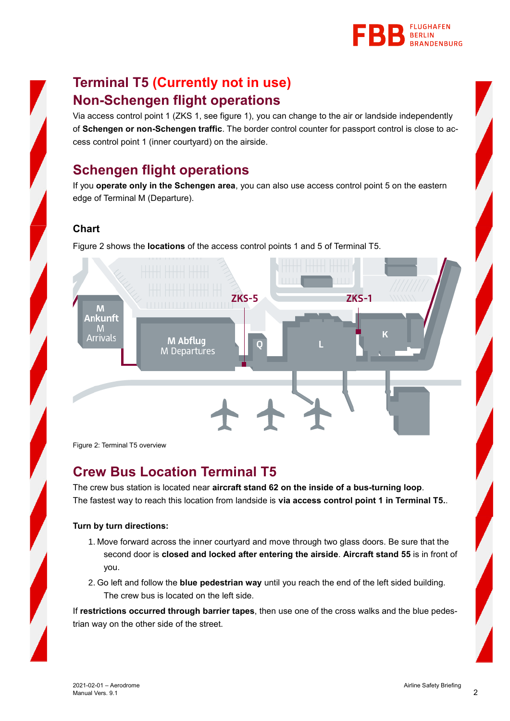

# **Terminal T5 (Currently not in use) Non-Schengen flight operations**

Via access control point 1 (ZKS 1, see figure 1), you can change to the air or landside independently of **Schengen or non-Schengen traffic**. The border control counter for passport control is close to access control point 1 (inner courtyard) on the airside.

# **Schengen flight operations**

If you **operate only in the Schengen area**, you can also use access control point 5 on the eastern edge of Terminal M (Departure).

#### **Chart**

Figure 2 shows the **locations** of the access control points 1 and 5 of Terminal T5.



Figure 2: Terminal T5 overview

#### **Crew Bus Location Terminal T5**

The crew bus station is located near **aircraft stand 62 on the inside of a bus-turning loop**. The fastest way to reach this location from landside is **via access control point 1 in Terminal T5.**.

#### **Turn by turn directions:**

- 1. Move forward across the inner courtyard and move through two glass doors. Be sure that the second door is **closed and locked after entering the airside**. **Aircraft stand 55** is in front of you.
- 2. Go left and follow the **blue pedestrian way** until you reach the end of the left sided building. The crew bus is located on the left side.

If **restrictions occurred through barrier tapes**, then use one of the cross walks and the blue pedestrian way on the other side of the street.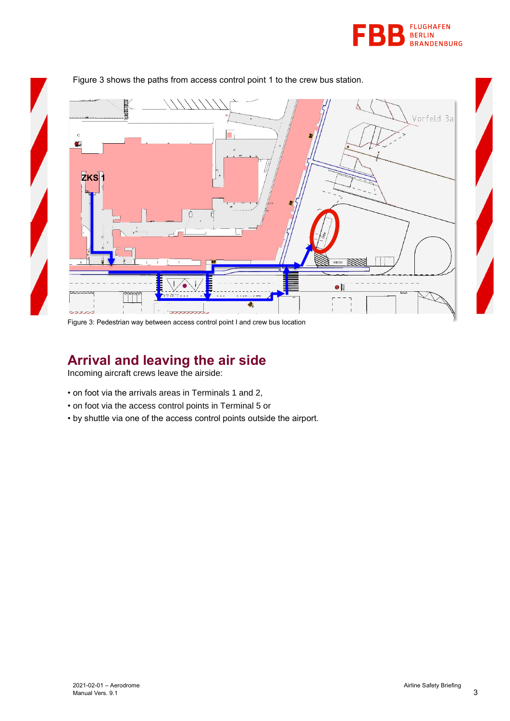



Figure 3 shows the paths from access control point 1 to the crew bus station.

Figure 3: Pedestrian way between access control point I and crew bus location

#### **Arrival and leaving the air side**

Incoming aircraft crews leave the airside:

- on foot via the arrivals areas in Terminals 1 and 2,
- on foot via the access control points in Terminal 5 or
- by shuttle via one of the access control points outside the airport.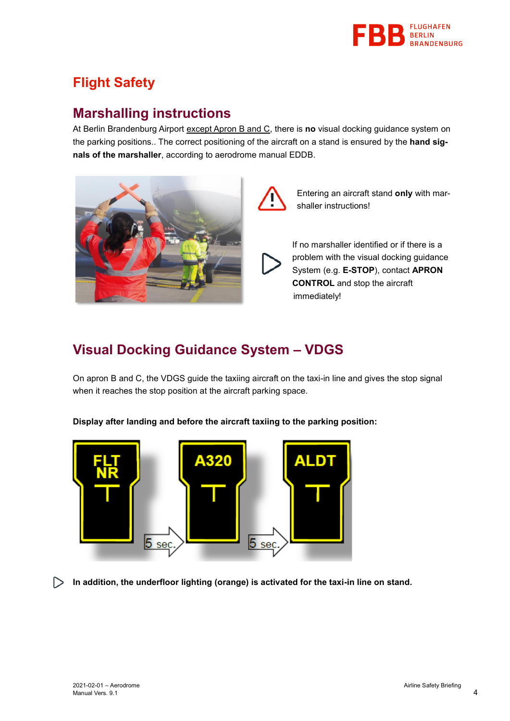

# **Flight Safety**

## **Marshalling instructions**

At Berlin Brandenburg Airport except Apron B and C, there is **no** visual docking guidance system on the parking positions.. The correct positioning of the aircraft on a stand is ensured by the **hand signals of the marshaller**, according to aerodrome manual EDDB.



Entering an aircraft stand **only** with marshaller instructions!

If no marshaller identified or if there is a problem with the visual docking guidance System (e.g. **E-STOP**), contact **APRON CONTROL** and stop the aircraft immediately!

## **Visual Docking Guidance System – VDGS**

On apron B and C, the VDGS guide the taxiing aircraft on the taxi-in line and gives the stop signal when it reaches the stop position at the aircraft parking space.

**Display after landing and before the aircraft taxiing to the parking position:**



**In addition, the underfloor lighting (orange) is activated for the taxi-in line on stand.** $\triangleright$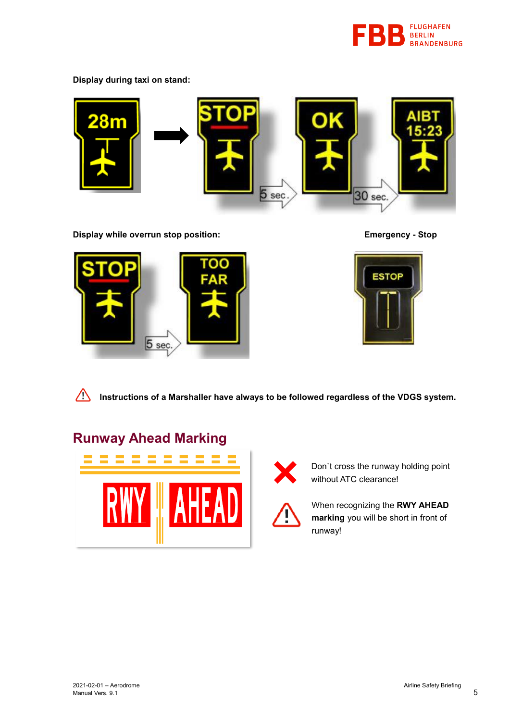

**Display during taxi on stand:**



**Display while overrun stop position: Emergency - Stop**





**Instructions of a Marshaller have always to be followed regardless of the VDGS system.**

## **Runway Ahead Marking**





Don`t cross the runway holding point without ATC clearance!

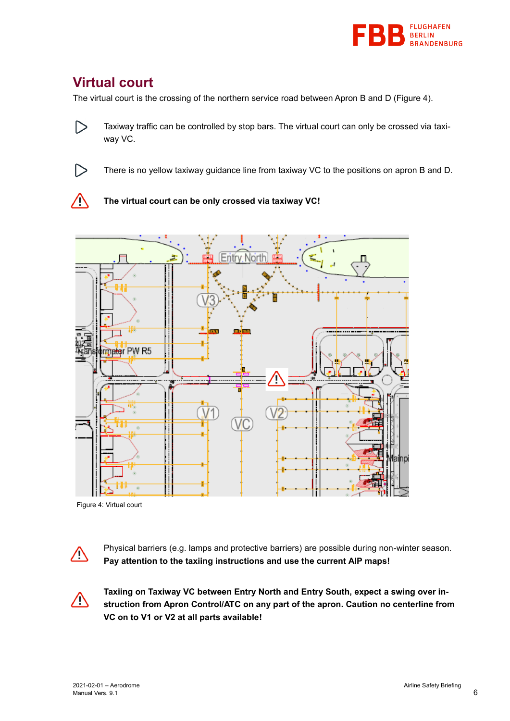

## **Virtual court**

 $\triangleright$ 

The virtual court is the crossing of the northern service road between Apron B and D (Figure 4).

 $\triangleright$ Taxiway traffic can be controlled by stop bars. The virtual court can only be crossed via taxiway VC.

There is no yellow taxiway guidance line from taxiway VC to the positions on apron B and D.





Figure 4: Virtual court



Physical barriers (e.g. lamps and protective barriers) are possible during non-winter season. **Pay attention to the taxiing instructions and use the current AIP maps!**



**Taxiing on Taxiway VC between Entry North and Entry South, expect a swing over instruction from Apron Control/ATC on any part of the apron. Caution no centerline from VC on to V1 or V2 at all parts available!**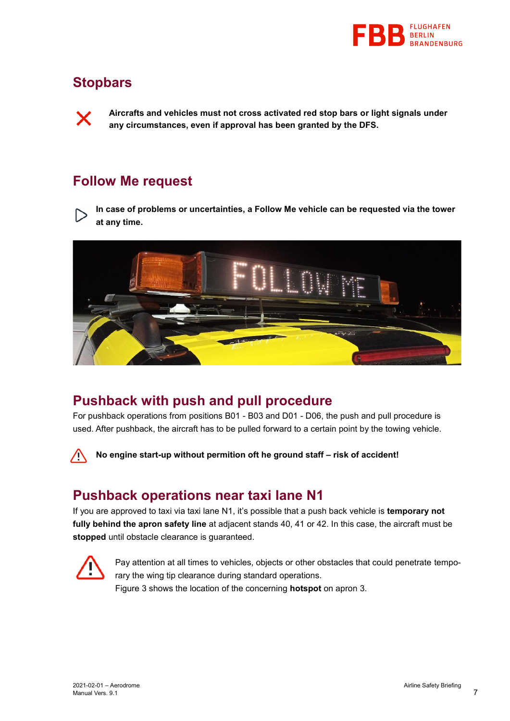

#### **Stopbars**

**Aircrafts and vehicles must not cross activated red stop bars or light signals under any circumstances, even if approval has been granted by the DFS.**

#### **Follow Me request**

**In case of problems or uncertainties, a Follow Me vehicle can be requested via the tower at any time.**



#### **Pushback with push and pull procedure**

For pushback operations from positions B01 - B03 and D01 - D06, the push and pull procedure is used. After pushback, the aircraft has to be pulled forward to a certain point by the towing vehicle.

Λ

**No engine start-up without permition oft he ground staff – risk of accident!**

#### **Pushback operations near taxi lane N1**

If you are approved to taxi via taxi lane N1, it's possible that a push back vehicle is **temporary not fully behind the apron safety line** at adjacent stands 40, 41 or 42. In this case, the aircraft must be **stopped** until obstacle clearance is guaranteed.



Pay attention at all times to vehicles, objects or other obstacles that could penetrate temporary the wing tip clearance during standard operations. Figure 3 shows the location of the concerning **hotspot** on apron 3.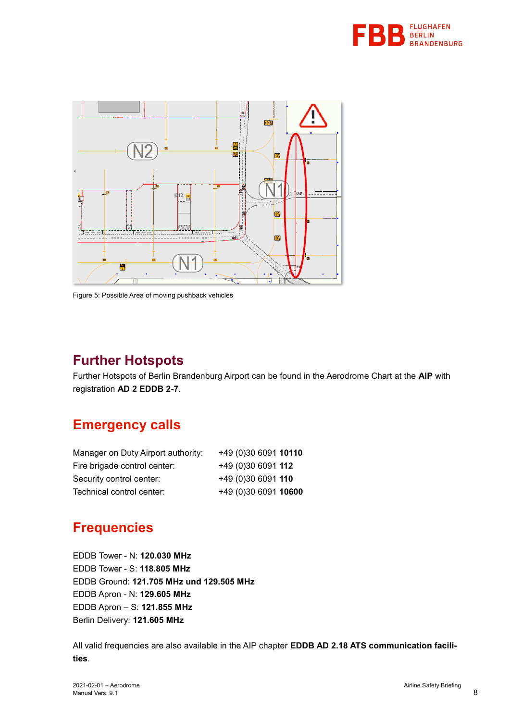



Figure 5: Possible Area of moving pushback vehicles

#### **Further Hotspots**

Further Hotspots of Berlin Brandenburg Airport can be found in the Aerodrome Chart at the **AIP** with registration **AD 2 EDDB 2-7**.

## **Emergency calls**

| Manager on Duty Airport authority: | +49 (0)30 6091 10110 |  |
|------------------------------------|----------------------|--|
| Fire brigade control center:       | +49 (0)30 6091 112   |  |
| Security control center:           | +49 (0)30 6091 110   |  |
| Technical control center:          | +49 (0)30 6091 10600 |  |

# **Frequencies**

EDDB Tower - N: **120.030 MHz** EDDB Tower - S: **118.805 MHz** EDDB Ground: **121.705 MHz und 129.505 MHz** EDDB Apron - N: **129.605 MHz** EDDB Apron – S: **121.855 MHz** Berlin Delivery: **121.605 MHz**

All valid frequencies are also available in the AIP chapter **EDDB AD 2.18 ATS communication facilities**.